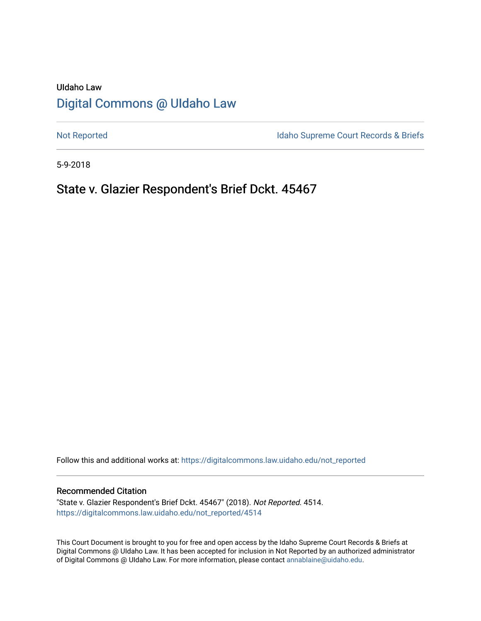# UIdaho Law [Digital Commons @ UIdaho Law](https://digitalcommons.law.uidaho.edu/)

[Not Reported](https://digitalcommons.law.uidaho.edu/not_reported) **Idaho Supreme Court Records & Briefs** 

5-9-2018

# State v. Glazier Respondent's Brief Dckt. 45467

Follow this and additional works at: [https://digitalcommons.law.uidaho.edu/not\\_reported](https://digitalcommons.law.uidaho.edu/not_reported?utm_source=digitalcommons.law.uidaho.edu%2Fnot_reported%2F4514&utm_medium=PDF&utm_campaign=PDFCoverPages) 

#### Recommended Citation

"State v. Glazier Respondent's Brief Dckt. 45467" (2018). Not Reported. 4514. [https://digitalcommons.law.uidaho.edu/not\\_reported/4514](https://digitalcommons.law.uidaho.edu/not_reported/4514?utm_source=digitalcommons.law.uidaho.edu%2Fnot_reported%2F4514&utm_medium=PDF&utm_campaign=PDFCoverPages)

This Court Document is brought to you for free and open access by the Idaho Supreme Court Records & Briefs at Digital Commons @ UIdaho Law. It has been accepted for inclusion in Not Reported by an authorized administrator of Digital Commons @ UIdaho Law. For more information, please contact [annablaine@uidaho.edu](mailto:annablaine@uidaho.edu).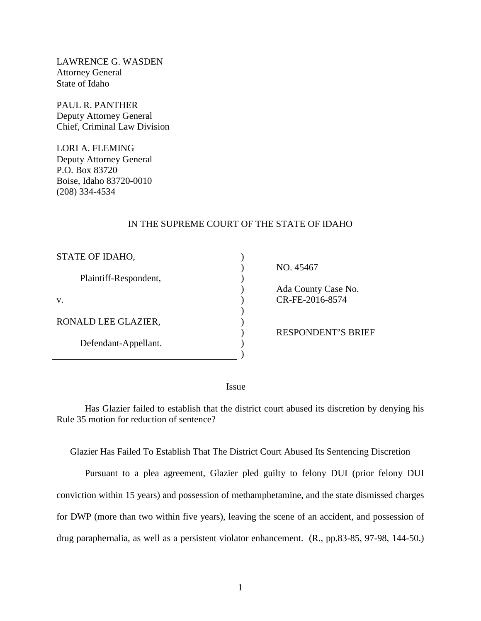LAWRENCE G. WASDEN Attorney General State of Idaho

PAUL R. PANTHER Deputy Attorney General Chief, Criminal Law Division

LORI A. FLEMING Deputy Attorney General P.O. Box 83720 Boise, Idaho 83720-0010 (208) 334-4534

### IN THE SUPREME COURT OF THE STATE OF IDAHO

| STATE OF IDAHO,       |  |
|-----------------------|--|
| Plaintiff-Respondent, |  |
| $V_{\cdot}$           |  |
| RONALD LEE GLAZIER,   |  |
| Defendant-Appellant.  |  |
|                       |  |

NO. 45467

 Ada County Case No. CR-FE-2016-8574

RESPONDENT'S BRIEF

<u>Issue</u>

) )

Has Glazier failed to establish that the district court abused its discretion by denying his Rule 35 motion for reduction of sentence?

### Glazier Has Failed To Establish That The District Court Abused Its Sentencing Discretion

Pursuant to a plea agreement, Glazier pled guilty to felony DUI (prior felony DUI conviction within 15 years) and possession of methamphetamine, and the state dismissed charges for DWP (more than two within five years), leaving the scene of an accident, and possession of drug paraphernalia, as well as a persistent violator enhancement. (R., pp.83-85, 97-98, 144-50.)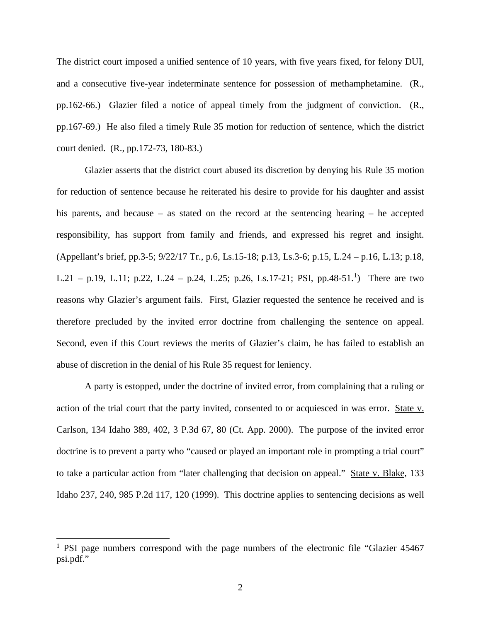The district court imposed a unified sentence of 10 years, with five years fixed, for felony DUI, and a consecutive five-year indeterminate sentence for possession of methamphetamine. (R., pp.162-66.) Glazier filed a notice of appeal timely from the judgment of conviction. (R., pp.167-69.) He also filed a timely Rule 35 motion for reduction of sentence, which the district court denied. (R., pp.172-73, 180-83.)

Glazier asserts that the district court abused its discretion by denying his Rule 35 motion for reduction of sentence because he reiterated his desire to provide for his daughter and assist his parents, and because – as stated on the record at the sentencing hearing – he accepted responsibility, has support from family and friends, and expressed his regret and insight. (Appellant's brief, pp.3-5; 9/22/17 Tr., p.6, Ls.15-18; p.13, Ls.3-6; p.15, L.24 – p.16, L.13; p.18, L.2[1](#page-2-0) – p.19, L.11; p.22, L.24 – p.24, L.25; p.26, Ls.17-21; PSI, pp.48-51.<sup>1</sup>) There are two reasons why Glazier's argument fails. First, Glazier requested the sentence he received and is therefore precluded by the invited error doctrine from challenging the sentence on appeal. Second, even if this Court reviews the merits of Glazier's claim, he has failed to establish an abuse of discretion in the denial of his Rule 35 request for leniency.

A party is estopped, under the doctrine of invited error, from complaining that a ruling or action of the trial court that the party invited, consented to or acquiesced in was error. State v. Carlson, 134 Idaho 389, 402, 3 P.3d 67, 80 (Ct. App. 2000). The purpose of the invited error doctrine is to prevent a party who "caused or played an important role in prompting a trial court" to take a particular action from "later challenging that decision on appeal." State v. Blake, 133 Idaho 237, 240, 985 P.2d 117, 120 (1999). This doctrine applies to sentencing decisions as well

 $\overline{a}$ 

<span id="page-2-0"></span><sup>&</sup>lt;sup>1</sup> PSI page numbers correspond with the page numbers of the electronic file "Glazier 45467" psi.pdf."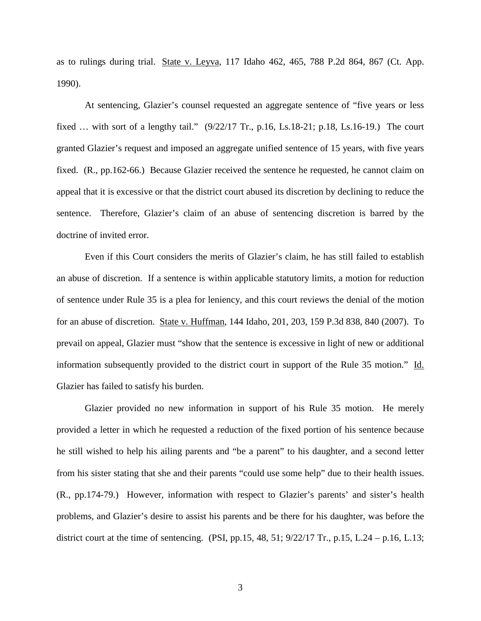as to rulings during trial. State v. Leyva, 117 Idaho 462, 465, 788 P.2d 864, 867 (Ct. App. 1990).

At sentencing, Glazier's counsel requested an aggregate sentence of "five years or less fixed … with sort of a lengthy tail." (9/22/17 Tr., p.16, Ls.18-21; p.18, Ls.16-19.) The court granted Glazier's request and imposed an aggregate unified sentence of 15 years, with five years fixed. (R., pp.162-66.) Because Glazier received the sentence he requested, he cannot claim on appeal that it is excessive or that the district court abused its discretion by declining to reduce the sentence. Therefore, Glazier's claim of an abuse of sentencing discretion is barred by the doctrine of invited error.

Even if this Court considers the merits of Glazier's claim, he has still failed to establish an abuse of discretion. If a sentence is within applicable statutory limits, a motion for reduction of sentence under Rule 35 is a plea for leniency, and this court reviews the denial of the motion for an abuse of discretion. State v. Huffman, 144 Idaho, 201, 203, 159 P.3d 838, 840 (2007). To prevail on appeal, Glazier must "show that the sentence is excessive in light of new or additional information subsequently provided to the district court in support of the Rule 35 motion." Id. Glazier has failed to satisfy his burden.

Glazier provided no new information in support of his Rule 35 motion. He merely provided a letter in which he requested a reduction of the fixed portion of his sentence because he still wished to help his ailing parents and "be a parent" to his daughter, and a second letter from his sister stating that she and their parents "could use some help" due to their health issues. (R., pp.174-79.) However, information with respect to Glazier's parents' and sister's health problems, and Glazier's desire to assist his parents and be there for his daughter, was before the district court at the time of sentencing. (PSI, pp.15, 48, 51; 9/22/17 Tr., p.15, L.24 – p.16, L.13;